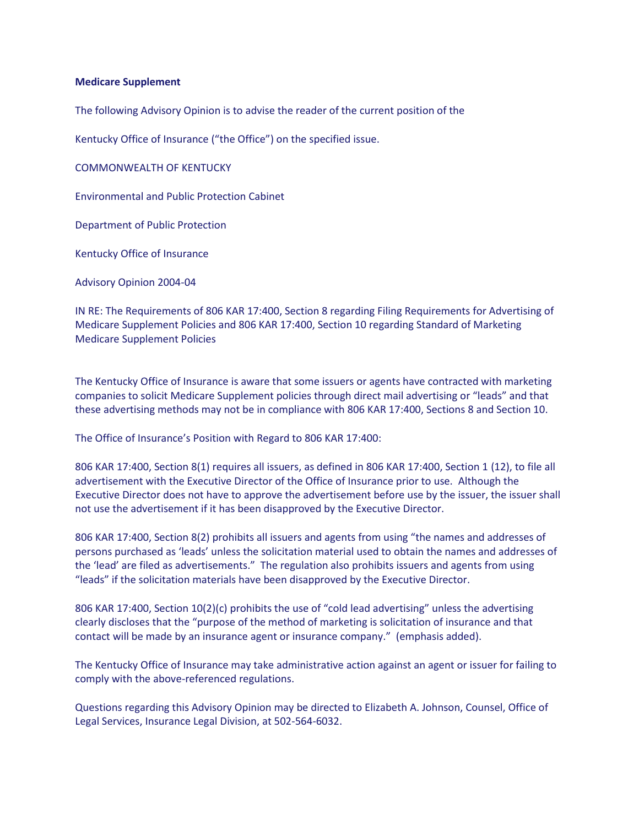## **Medicare Supplement**

The following Advisory Opinion is to advise the reader of the current position of the

Kentucky Office of Insurance ("the Office") on the specified issue.

COMMONWEALTH OF KENTUCKY

Environmental and Public Protection Cabinet

Department of Public Protection

Kentucky Office of Insurance

Advisory Opinion 2004-04

IN RE: The Requirements of 806 KAR 17:400, Section 8 regarding Filing Requirements for Advertising of Medicare Supplement Policies and 806 KAR 17:400, Section 10 regarding Standard of Marketing Medicare Supplement Policies

The Kentucky Office of Insurance is aware that some issuers or agents have contracted with marketing companies to solicit Medicare Supplement policies through direct mail advertising or "leads" and that these advertising methods may not be in compliance with 806 KAR 17:400, Sections 8 and Section 10.

The Office of Insurance's Position with Regard to 806 KAR 17:400:

806 KAR 17:400, Section 8(1) requires all issuers, as defined in 806 KAR 17:400, Section 1 (12), to file all advertisement with the Executive Director of the Office of Insurance prior to use. Although the Executive Director does not have to approve the advertisement before use by the issuer, the issuer shall not use the advertisement if it has been disapproved by the Executive Director.

806 KAR 17:400, Section 8(2) prohibits all issuers and agents from using "the names and addresses of persons purchased as 'leads' unless the solicitation material used to obtain the names and addresses of the 'lead' are filed as advertisements." The regulation also prohibits issuers and agents from using "leads" if the solicitation materials have been disapproved by the Executive Director.

806 KAR 17:400, Section 10(2)(c) prohibits the use of "cold lead advertising" unless the advertising clearly discloses that the "purpose of the method of marketing is solicitation of insurance and that contact will be made by an insurance agent or insurance company." (emphasis added).

The Kentucky Office of Insurance may take administrative action against an agent or issuer for failing to comply with the above-referenced regulations.

Questions regarding this Advisory Opinion may be directed to Elizabeth A. Johnson, Counsel, Office of Legal Services, Insurance Legal Division, at 502-564-6032.